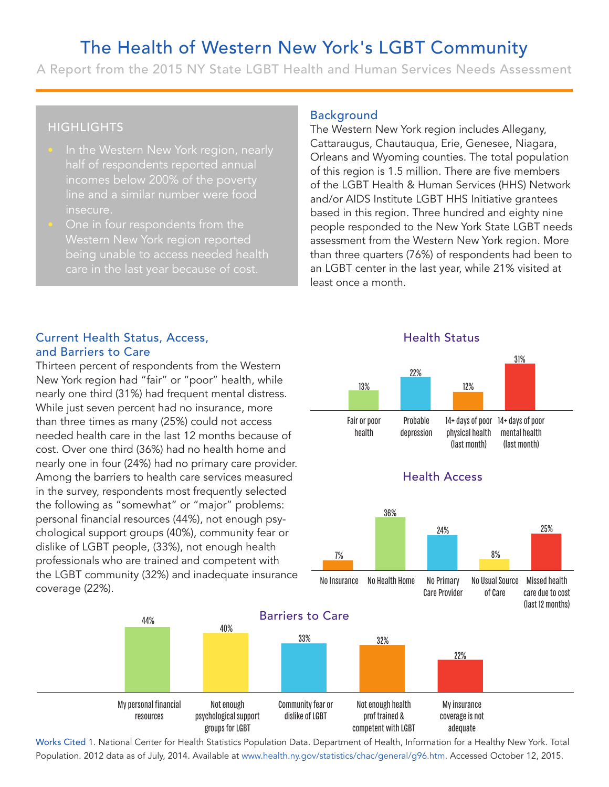# The Health of Western New York's LGBT Community

A Report from the 2015 NY State LGBT Health and Human Services Needs Assessment

## **HIGHLIGHTS**

- half of respondents reported annual incomes below 200% of the poverty line and a similar number were food insecure.
- being unable to access needed health

#### Background

The Western New York region includes Allegany, Cattaraugus, Chautauqua, Erie, Genesee, Niagara, Orleans and Wyoming counties. The total population of this region is 1.5 million. There are five members of the LGBT Health & Human Services (HHS) Network and/or AIDS Institute LGBT HHS Initiative grantees based in this region. Three hundred and eighty nine people responded to the New York State LGBT needs assessment from the Western New York region. More than three quarters (76%) of respondents had been to an LGBT center in the last year, while 21% visited at least once a month. Expround<br>
International Western New<br>
International Myon<br>
Internation is 1.5<br>
Internation in this regio<br>
International Systems<br>
International Systems<br>
International Systems<br>
International Systems<br>
International Systems<br>
Int New York region includes Allegany,<br>
Chautauqua, Erie, Genesee, Niagara,<br>
1/yoming counties. The total populaties<br>
1.5 million. There are five members<br>
ealth & Human Services (HHS) Netw<br>
stitute LGBT HHS Initiative grantees

Health Status

#### Current Health Status, Access, and Barriers to Care

example the special financial properties and this region. Three hundred and experiment of the the New York State<br>
Finder move York State (grand from the Western New York State<br>
unable to access needed health<br>
than three Thirteen percent of respondents from the Western New York region had "fair" or "poor" health, while nearly one third (31%) had frequent mental distress. While just seven percent had no insurance, more than three times as many (25%) could not access needed health care in the last 12 months because of cost. Over one third (36%) had no health home and nearly one in four (24%) had no primary care provider. Among the barriers to health care services measured in the survey, respondents most frequently selected the following as "somewhat" or "major" problems: personal financial resources (44%), not enough psychological support groups (40%), community fear or dislike of LGBT people, (33%), not enough health professionals who are trained and competent with the LGBT community (32%) and inadequate insurance coverage (22%).

44%

40%

736+24+825 14+ days of poor 14+ days of poor mental health (last month) physical health (last month) Probable depression Fair or poor health 36% 24% 25% Health Access 13% 22% 12% 31%





Works Cited 1. National Center for Health Statistics Population Data. Department of Health, Information for a Healthy New York. Total Population. 2012 data as of July, 2014. Available at www.health.ny.gov/statistics/chac/general/g96.htm. Accessed October 12, 2015.